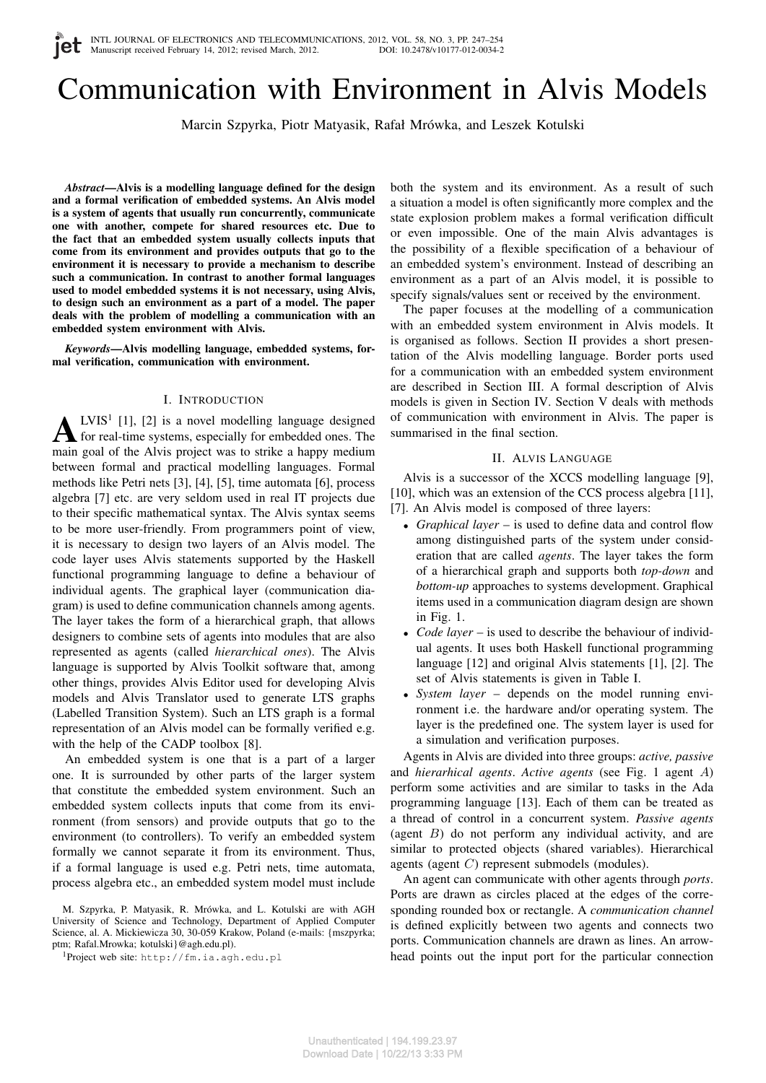# Communication with Environment in Alvis Models

Marcin Szpyrka, Piotr Matyasik, Rafał Mrówka, and Leszek Kotulski

*Abstract*—Alvis is a modelling language defined for the design and a formal verification of embedded systems. An Alvis model is a system of agents that usually run concurrently, communicate one with another, compete for shared resources etc. Due to the fact that an embedded system usually collects inputs that come from its environment and provides outputs that go to the environment it is necessary to provide a mechanism to describe such a communication. In contrast to another formal languages used to model embedded systems it is not necessary, using Alvis, to design such an environment as a part of a model. The paper deals with the problem of modelling a communication with an embedded system environment with Alvis.

*Keywords*—Alvis modelling language, embedded systems, formal verification, communication with environment.

## I. INTRODUCTION

 $\mathbf{A}$  LVIS<sup>1</sup> [1], [2] is a novel modelling language designed for real-time systems, especially for embedded ones. The  $LVIS<sup>1</sup>$  [1], [2] is a novel modelling language designed main goal of the Alvis project was to strike a happy medium between formal and practical modelling languages. Formal methods like Petri nets [3], [4], [5], time automata [6], process algebra [7] etc. are very seldom used in real IT projects due to their specific mathematical syntax. The Alvis syntax seems to be more user-friendly. From programmers point of view, it is necessary to design two layers of an Alvis model. The code layer uses Alvis statements supported by the Haskell functional programming language to define a behaviour of individual agents. The graphical layer (communication diagram) is used to define communication channels among agents. The layer takes the form of a hierarchical graph, that allows designers to combine sets of agents into modules that are also represented as agents (called *hierarchical ones*). The Alvis language is supported by Alvis Toolkit software that, among other things, provides Alvis Editor used for developing Alvis models and Alvis Translator used to generate LTS graphs (Labelled Transition System). Such an LTS graph is a formal representation of an Alvis model can be formally verified e.g. with the help of the CADP toolbox [8].

An embedded system is one that is a part of a larger one. It is surrounded by other parts of the larger system that constitute the embedded system environment. Such an embedded system collects inputs that come from its environment (from sensors) and provide outputs that go to the environment (to controllers). To verify an embedded system formally we cannot separate it from its environment. Thus, if a formal language is used e.g. Petri nets, time automata, process algebra etc., an embedded system model must include

M. Szpyrka, P. Matyasik, R. Mrówka, and L. Kotulski are with AGH University of Science and Technology, Department of Applied Computer Science, al. A. Mickiewicza 30, 30-059 Krakow, Poland (e-mails: {mszpyrka; ptm; Rafal.Mrowka; kotulski}@agh.edu.pl).

<sup>1</sup>Project web site: http://fm.ia.agh.edu.pl

both the system and its environment. As a result of such a situation a model is often significantly more complex and the state explosion problem makes a formal verification difficult or even impossible. One of the main Alvis advantages is the possibility of a flexible specification of a behaviour of an embedded system's environment. Instead of describing an environment as a part of an Alvis model, it is possible to specify signals/values sent or received by the environment.

The paper focuses at the modelling of a communication with an embedded system environment in Alvis models. It is organised as follows. Section II provides a short presentation of the Alvis modelling language. Border ports used for a communication with an embedded system environment are described in Section III. A formal description of Alvis models is given in Section IV. Section V deals with methods of communication with environment in Alvis. The paper is summarised in the final section.

### II. ALVIS LANGUAGE

Alvis is a successor of the XCCS modelling language [9], [10], which was an extension of the CCS process algebra [11], [7]. An Alvis model is composed of three layers:

- *Graphical layer* is used to define data and control flow among distinguished parts of the system under consideration that are called *agents*. The layer takes the form of a hierarchical graph and supports both *top-down* and *bottom-up* approaches to systems development. Graphical items used in a communication diagram design are shown in Fig. 1.
- *Code layer* is used to describe the behaviour of individual agents. It uses both Haskell functional programming language [12] and original Alvis statements [1], [2]. The set of Alvis statements is given in Table I.
- *System layer* depends on the model running environment i.e. the hardware and/or operating system. The layer is the predefined one. The system layer is used for a simulation and verification purposes.

Agents in Alvis are divided into three groups: *active, passive* and *hierarhical agents*. *Active agents* (see Fig. 1 agent A) perform some activities and are similar to tasks in the Ada programming language [13]. Each of them can be treated as a thread of control in a concurrent system. *Passive agents* (agent  $B$ ) do not perform any individual activity, and are similar to protected objects (shared variables). Hierarchical agents (agent C) represent submodels (modules).

An agent can communicate with other agents through *ports*. Ports are drawn as circles placed at the edges of the corresponding rounded box or rectangle. A *communication channel* is defined explicitly between two agents and connects two ports. Communication channels are drawn as lines. An arrowhead points out the input port for the particular connection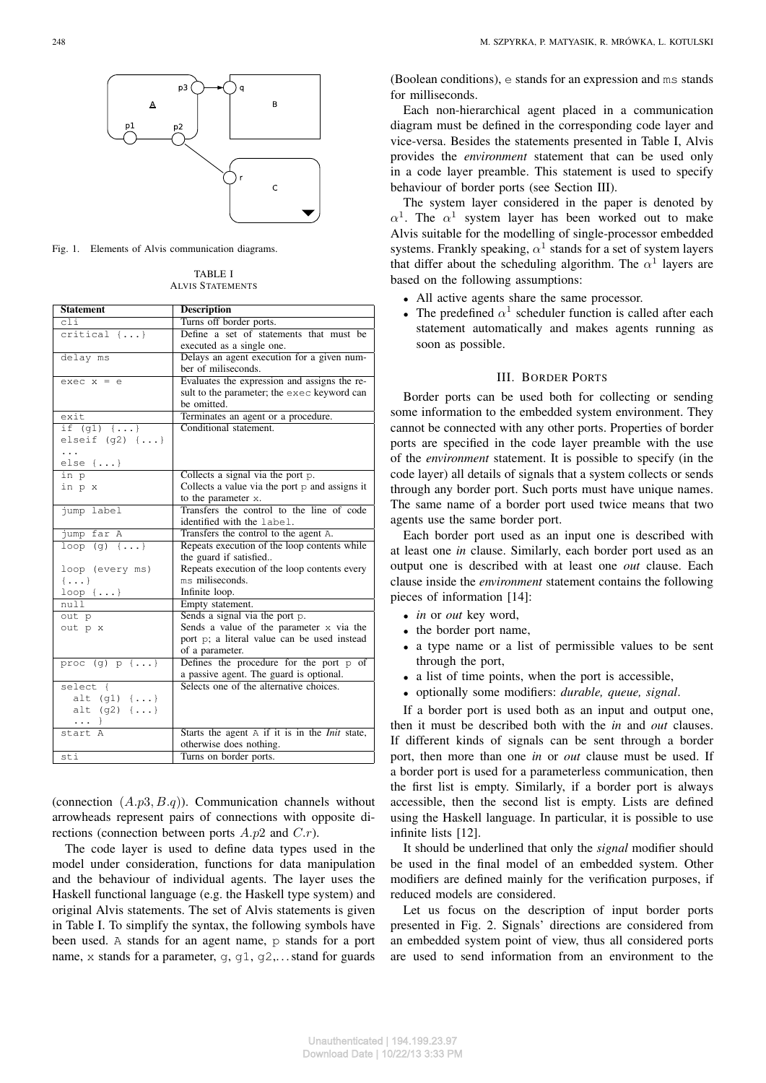

Fig. 1. Elements of Alvis communication diagrams.

TABLE I ALVIS STATEMENTS

| <b>Statement</b>                          | <b>Description</b>                                    |  |
|-------------------------------------------|-------------------------------------------------------|--|
| cli                                       | Turns off border ports.                               |  |
| $\overline{\text{critical}} \ \{\ldots\}$ | Define a set of statements that must be               |  |
|                                           | executed as a single one.                             |  |
| delay ms                                  | Delays an agent execution for a given num-            |  |
|                                           | ber of miliseconds.                                   |  |
| $exec x = e$                              | Evaluates the expression and assigns the re-          |  |
|                                           | sult to the parameter; the exec keyword can           |  |
|                                           | be omitted.                                           |  |
| exit                                      | Terminates an agent or a procedure.                   |  |
| if $(q1)$ $\{ \ldots \}$                  | Conditional statement.                                |  |
| elseif $(g2)$ {}                          |                                                       |  |
| .                                         |                                                       |  |
| else $\{ \ldots \}$                       |                                                       |  |
| in p                                      | Collects a signal via the port p.                     |  |
| in p x                                    | Collects a value via the port p and assigns it        |  |
|                                           | to the parameter x.                                   |  |
| jump label                                | Transfers the control to the line of code             |  |
|                                           | identified with the label.                            |  |
| jump far A                                | Transfers the control to the agent A.                 |  |
| $loop(q)$ $\{ \}$                         | Repeats execution of the loop contents while          |  |
|                                           | the guard if satisfied                                |  |
| loop (every ms)                           | Repeats execution of the loop contents every          |  |
| $\{\ldots\}$                              | ms miliseconds.                                       |  |
| $loop( \ldots )$                          | Infinite loop.                                        |  |
| null                                      | Empty statement.                                      |  |
| $\overline{\text{out}}$ p                 | Sends a signal via the port p.                        |  |
| out p x                                   | Sends a value of the parameter x via the              |  |
|                                           | port p; a literal value can be used instead           |  |
|                                           | of a parameter.                                       |  |
| proc (g) $p\left\{ \ldots\right\}$        | Defines the procedure for the port $p$ of             |  |
|                                           | a passive agent. The guard is optional.               |  |
| select {                                  | Selects one of the alternative choices.               |  |
| alt $(g1)$ $\{\ldots\}$                   |                                                       |  |
| alt $(q2) \{ \}$                          |                                                       |  |
| $\cdots$                                  |                                                       |  |
| start A                                   | Starts the agent A if it is in the <i>Init</i> state, |  |
|                                           | otherwise does nothing.                               |  |
| sti                                       | Turns on border ports.                                |  |

(connection  $(A.p3, B.q)$ ). Communication channels without arrowheads represent pairs of connections with opposite directions (connection between ports  $A.p2$  and  $C.r$ ).

The code layer is used to define data types used in the model under consideration, functions for data manipulation and the behaviour of individual agents. The layer uses the Haskell functional language (e.g. the Haskell type system) and original Alvis statements. The set of Alvis statements is given in Table I. To simplify the syntax, the following symbols have been used. A stands for an agent name, p stands for a port name, x stands for a parameter, q, q1, q2,... stand for guards (Boolean conditions), e stands for an expression and ms stands for milliseconds.

Each non-hierarchical agent placed in a communication diagram must be defined in the corresponding code layer and vice-versa. Besides the statements presented in Table I, Alvis provides the *environment* statement that can be used only in a code layer preamble. This statement is used to specify behaviour of border ports (see Section III).

The system layer considered in the paper is denoted by  $\alpha^1$ . The  $\alpha^1$  system layer has been worked out to make Alvis suitable for the modelling of single-processor embedded systems. Frankly speaking,  $\alpha^1$  stands for a set of system layers that differ about the scheduling algorithm. The  $\alpha^1$  layers are based on the following assumptions:

- All active agents share the same processor.
- The predefined  $\alpha^1$  scheduler function is called after each statement automatically and makes agents running as soon as possible.

# III. BORDER PORTS

Border ports can be used both for collecting or sending some information to the embedded system environment. They cannot be connected with any other ports. Properties of border ports are specified in the code layer preamble with the use of the *environment* statement. It is possible to specify (in the code layer) all details of signals that a system collects or sends through any border port. Such ports must have unique names. The same name of a border port used twice means that two agents use the same border port.

Each border port used as an input one is described with at least one *in* clause. Similarly, each border port used as an output one is described with at least one *out* clause. Each clause inside the *environment* statement contains the following pieces of information [14]:

- *in* or *out* key word,
- the border port name,
- a type name or a list of permissible values to be sent through the port,
- a list of time points, when the port is accessible,
- optionally some modifiers: *durable, queue, signal*.

If a border port is used both as an input and output one, then it must be described both with the *in* and *out* clauses. If different kinds of signals can be sent through a border port, then more than one *in* or *out* clause must be used. If a border port is used for a parameterless communication, then the first list is empty. Similarly, if a border port is always accessible, then the second list is empty. Lists are defined using the Haskell language. In particular, it is possible to use infinite lists [12].

It should be underlined that only the *signal* modifier should be used in the final model of an embedded system. Other modifiers are defined mainly for the verification purposes, if reduced models are considered.

Let us focus on the description of input border ports presented in Fig. 2. Signals' directions are considered from an embedded system point of view, thus all considered ports are used to send information from an environment to the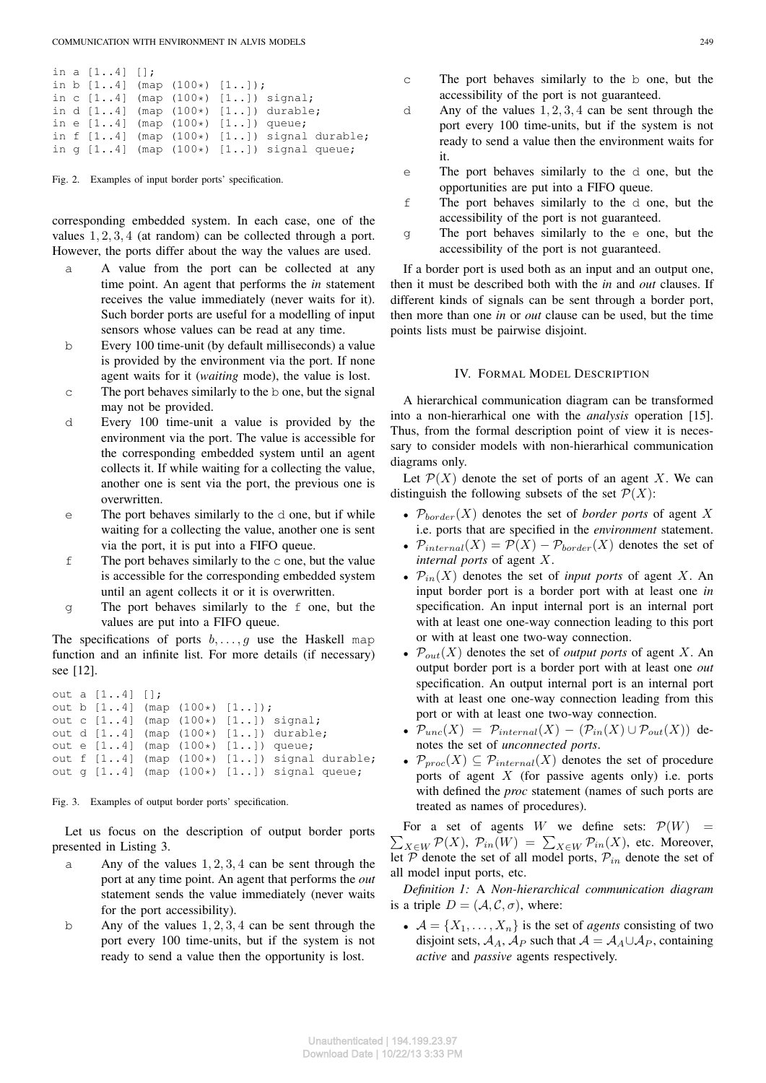COMMUNICATION WITH ENVIRONMENT IN ALVIS MODELS 249

```
in a [1..4] [];
in b [1..4] (map (100*) [1..]);<br>in c [1..4] (map (100*) [1..])in c [1..4] (map (100*) [1..]) signal;<br>in d [1..4] (map (100*) [1..]) durable
in d [1..4] (map (100*) [1..]) durable;<br>in e [1..4] (map (100*) [1..]) queue;
in e [1..4] (map (100*) [1..]) queue;<br>in f [1..4] (map (100*) [1..]) signal
in f [1..4] (map (100*) [1..]) signal durable;<br>in \alpha [1..4] (map (100*) [1..]) signal queue;
                       \text{(map (100*) [1..]) signal queue};
```
Fig. 2. Examples of input border ports' specification.

corresponding embedded system. In each case, one of the values 1, 2, 3, 4 (at random) can be collected through a port. However, the ports differ about the way the values are used.

- a A value from the port can be collected at any time point. An agent that performs the *in* statement receives the value immediately (never waits for it). Such border ports are useful for a modelling of input sensors whose values can be read at any time.
- b Every 100 time-unit (by default milliseconds) a value is provided by the environment via the port. If none agent waits for it (*waiting* mode), the value is lost.
- c The port behaves similarly to the b one, but the signal may not be provided.
- d Every 100 time-unit a value is provided by the environment via the port. The value is accessible for the corresponding embedded system until an agent collects it. If while waiting for a collecting the value, another one is sent via the port, the previous one is overwritten.
- e The port behaves similarly to the d one, but if while waiting for a collecting the value, another one is sent via the port, it is put into a FIFO queue.
- $f$  The port behaves similarly to the c one, but the value is accessible for the corresponding embedded system until an agent collects it or it is overwritten.
- g The port behaves similarly to the f one, but the values are put into a FIFO queue.

The specifications of ports  $b, \ldots, q$  use the Haskell map function and an infinite list. For more details (if necessary) see [12].

|  | out a $[14]$ $[]$ ; |  |                                          |                                                  |                                                    |
|--|---------------------|--|------------------------------------------|--------------------------------------------------|----------------------------------------------------|
|  |                     |  | out b $[14]$ (map (100*) $[1])$ ;        |                                                  |                                                    |
|  |                     |  |                                          | out c $[14]$ (map $(100*)$ $[1])$ signal;        |                                                    |
|  |                     |  |                                          | out d $[14]$ (map $(100*)$ $[1])$ durable;       |                                                    |
|  |                     |  | out e $[14]$ (map $(100*)$ $[1])$ queue; |                                                  |                                                    |
|  |                     |  |                                          |                                                  | out f $[14]$ (map $(100*)$ $[1]$ ) signal durable; |
|  |                     |  |                                          | out q $[14]$ (map $(100*)$ $[1]$ ) signal queue; |                                                    |
|  |                     |  |                                          |                                                  |                                                    |

Fig. 3. Examples of output border ports' specification.

Let us focus on the description of output border ports presented in Listing 3.

- a Any of the values  $1, 2, 3, 4$  can be sent through the port at any time point. An agent that performs the *out* statement sends the value immediately (never waits for the port accessibility).
- b Any of the values  $1, 2, 3, 4$  can be sent through the port every 100 time-units, but if the system is not ready to send a value then the opportunity is lost.
- c The port behaves similarly to the b one, but the accessibility of the port is not guaranteed.
- d Any of the values  $1, 2, 3, 4$  can be sent through the port every 100 time-units, but if the system is not ready to send a value then the environment waits for it.
- e The port behaves similarly to the d one, but the opportunities are put into a FIFO queue.
- f The port behaves similarly to the d one, but the accessibility of the port is not guaranteed.
- g The port behaves similarly to the e one, but the accessibility of the port is not guaranteed.

If a border port is used both as an input and an output one, then it must be described both with the *in* and *out* clauses. If different kinds of signals can be sent through a border port, then more than one *in* or *out* clause can be used, but the time points lists must be pairwise disjoint.

## IV. FORMAL MODEL DESCRIPTION

A hierarchical communication diagram can be transformed into a non-hierarhical one with the *analysis* operation [15]. Thus, from the formal description point of view it is necessary to consider models with non-hierarhical communication diagrams only.

Let  $\mathcal{P}(X)$  denote the set of ports of an agent X. We can distinguish the following subsets of the set  $\mathcal{P}(X)$ :

- $\mathcal{P}_{border}(X)$  denotes the set of *border ports* of agent X i.e. ports that are specified in the *environment* statement.
- $\mathcal{P}_{internal}(X) = \mathcal{P}(X) \mathcal{P}_{border}(X)$  denotes the set of *internal ports* of agent X.
- $\mathcal{P}_{in}(X)$  denotes the set of *input ports* of agent X. An input border port is a border port with at least one *in* specification. An input internal port is an internal port with at least one one-way connection leading to this port or with at least one two-way connection.
- $\mathcal{P}_{out}(X)$  denotes the set of *output ports* of agent X. An output border port is a border port with at least one *out* specification. An output internal port is an internal port with at least one one-way connection leading from this port or with at least one two-way connection.
- $\mathcal{P}_{unc}(X) = \mathcal{P}_{internal}(X) (\mathcal{P}_{in}(X) \cup \mathcal{P}_{out}(X))$  denotes the set of *unconnected ports*.
- $\mathcal{P}_{proc}(X) \subseteq \mathcal{P}_{internal}(X)$  denotes the set of procedure ports of agent  $X$  (for passive agents only) i.e. ports with defined the *proc* statement (names of such ports are treated as names of procedures).

 $\sum_{X \in W} \mathcal{P}(X)$ ,  $\mathcal{P}_{in}(W) = \sum_{X \in W} \mathcal{P}_{in}(X)$ , etc. Moreover, For a set of agents W we define sets:  $\mathcal{P}(W)$  = let  $P$  denote the set of all model ports,  $P_{in}$  denote the set of all model input ports, etc.

*Definition 1:* A *Non-hierarchical communication diagram* is a triple  $D = (A, C, \sigma)$ , where:

•  $A = \{X_1, \ldots, X_n\}$  is the set of *agents* consisting of two disjoint sets,  $A_A$ ,  $A_P$  such that  $A = A_A \cup A_P$ , containing *active* and *passive* agents respectively.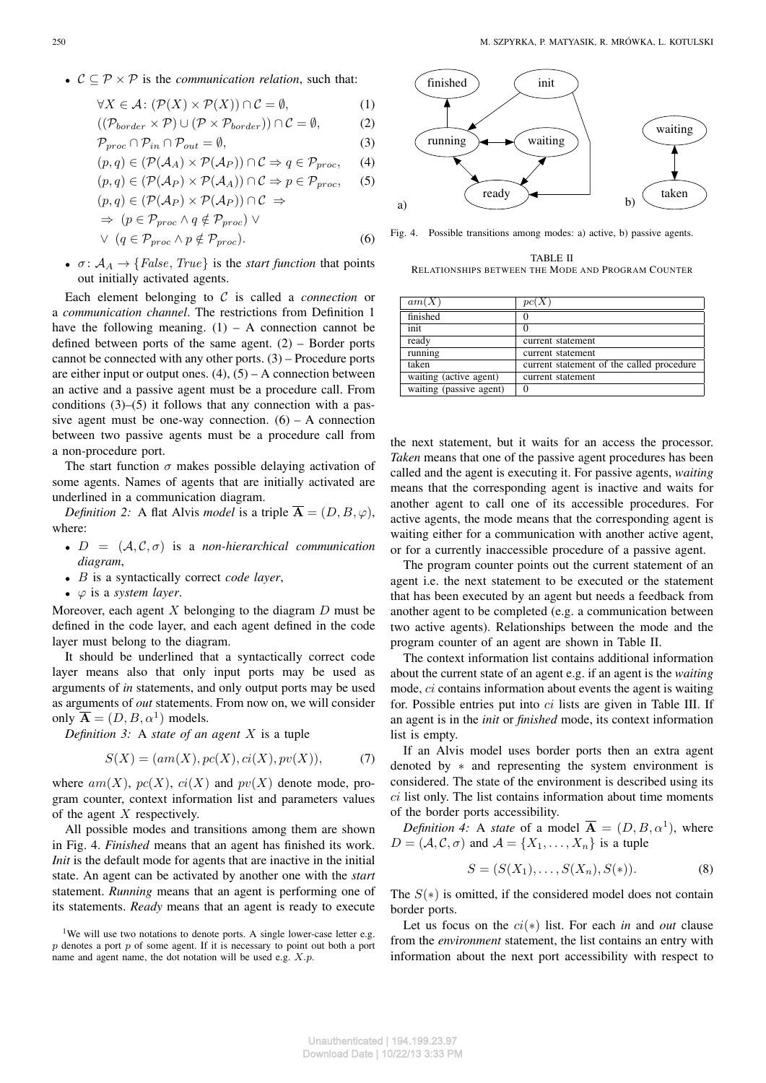•  $C \subseteq \mathcal{P} \times \mathcal{P}$  is the *communication relation*, such that:

$$
\forall X \in \mathcal{A} \colon (\mathcal{P}(X) \times \mathcal{P}(X)) \cap \mathcal{C} = \emptyset,
$$
 (1)

$$
((\mathcal{P}_{border} \times \mathcal{P}) \cup (\mathcal{P} \times \mathcal{P}_{border})) \cap \mathcal{C} = \emptyset, \tag{2}
$$

$$
\mathcal{P}_{proc} \cap \mathcal{P}_{in} \cap \mathcal{P}_{out} = \emptyset,
$$
\n(3)

$$
(p,q) \in (\mathcal{P}(\mathcal{A}_A) \times \mathcal{P}(\mathcal{A}_P)) \cap \mathcal{C} \Rightarrow q \in \mathcal{P}_{proc}, \quad (4)
$$

$$
(p,q) \in (\mathcal{P}(\mathcal{A}_{P}) \times \mathcal{P}(\mathcal{A}_{A})) \cap \mathcal{C} \Rightarrow p \in \mathcal{P}_{proc}, \quad (5)
$$

$$
(p,q)\in ({\cal P}({\cal A}_{P})\times {\cal P}({\cal A}_{P}))\cap {\cal C}\ \Rightarrow
$$

$$
\Rightarrow (p \in \mathcal{P}_{proc} \land q \notin \mathcal{P}_{proc}) \lor
$$

$$
\vee \ (q \in \mathcal{P}_{proc} \land p \notin \mathcal{P}_{proc}). \tag{6}
$$

•  $\sigma: A_A \rightarrow \{False, True\}$  is the *start function* that points out initially activated agents.

Each element belonging to C is called a *connection* or a *communication channel*. The restrictions from Definition 1 have the following meaning.  $(1)$  – A connection cannot be defined between ports of the same agent. (2) – Border ports cannot be connected with any other ports. (3) – Procedure ports are either input or output ones.  $(4)$ ,  $(5)$  – A connection between an active and a passive agent must be a procedure call. From conditions (3)–(5) it follows that any connection with a passive agent must be one-way connection.  $(6)$  – A connection between two passive agents must be a procedure call from a non-procedure port.

The start function  $\sigma$  makes possible delaying activation of some agents. Names of agents that are initially activated are underlined in a communication diagram.

*Definition 2:* A flat Alvis *model* is a triple  $\overline{\mathbf{A}} = (D, B, \varphi)$ , where:

- $D = (A, C, \sigma)$  is a *non-hierarchical communication diagram*,
- B is a syntactically correct *code layer*,
- $\bullet$   $\varphi$  is a *system layer*.

Moreover, each agent  $X$  belonging to the diagram  $D$  must be defined in the code layer, and each agent defined in the code layer must belong to the diagram.

It should be underlined that a syntactically correct code layer means also that only input ports may be used as arguments of *in* statements, and only output ports may be used as arguments of *out* statements. From now on, we will consider only  $\overline{\mathbf{A}} = (D, B, \alpha^1)$  models.

*Definition 3:* A *state of an agent* X is a tuple

$$
S(X) = (am(X), pc(X), ci(X), pv(X)),
$$
 (7)

where  $am(X)$ ,  $pc(X)$ ,  $ci(X)$  and  $pv(X)$  denote mode, program counter, context information list and parameters values of the agent X respectively.

All possible modes and transitions among them are shown in Fig. 4. *Finished* means that an agent has finished its work. *Init* is the default mode for agents that are inactive in the initial state. An agent can be activated by another one with the *start* statement. *Running* means that an agent is performing one of its statements. *Ready* means that an agent is ready to execute



Fig. 4. Possible transitions among modes: a) active, b) passive agents.

TABLE II RELATIONSHIPS BETWEEN THE MODE AND PROGRAM COUNTER

| am(X)                   | pc(A)                                     |
|-------------------------|-------------------------------------------|
| finished                | $\theta$                                  |
| init                    | 0                                         |
| ready                   | current statement                         |
| running                 | current statement                         |
| taken                   | current statement of the called procedure |
| waiting (active agent)  | current statement                         |
| waiting (passive agent) |                                           |

the next statement, but it waits for an access the processor. *Taken* means that one of the passive agent procedures has been called and the agent is executing it. For passive agents, *waiting* means that the corresponding agent is inactive and waits for another agent to call one of its accessible procedures. For active agents, the mode means that the corresponding agent is waiting either for a communication with another active agent, or for a currently inaccessible procedure of a passive agent.

The program counter points out the current statement of an agent i.e. the next statement to be executed or the statement that has been executed by an agent but needs a feedback from another agent to be completed (e.g. a communication between two active agents). Relationships between the mode and the program counter of an agent are shown in Table II.

The context information list contains additional information about the current state of an agent e.g. if an agent is the *waiting* mode, ci contains information about events the agent is waiting for. Possible entries put into  $ci$  lists are given in Table III. If an agent is in the *init* or *finished* mode, its context information list is empty.

If an Alvis model uses border ports then an extra agent denoted by ∗ and representing the system environment is considered. The state of the environment is described using its  $ci$  list only. The list contains information about time moments of the border ports accessibility.

*Definition 4:* A *state* of a model  $\overline{\mathbf{A}} = (D, B, \alpha^1)$ , where  $D = (\mathcal{A}, \mathcal{C}, \sigma)$  and  $\mathcal{A} = \{X_1, \ldots, X_n\}$  is a tuple

$$
S = (S(X_1), \dots, S(X_n), S(*)). \tag{8}
$$

The  $S(*)$  is omitted, if the considered model does not contain border ports.

Let us focus on the ci(∗) list. For each *in* and *out* clause from the *environment* statement, the list contains an entry with information about the next port accessibility with respect to

<sup>&</sup>lt;sup>1</sup>We will use two notations to denote ports. A single lower-case letter e.g.  $p$  denotes a port  $p$  of some agent. If it is necessary to point out both a port name and agent name, the dot notation will be used e.g.  $X, p$ .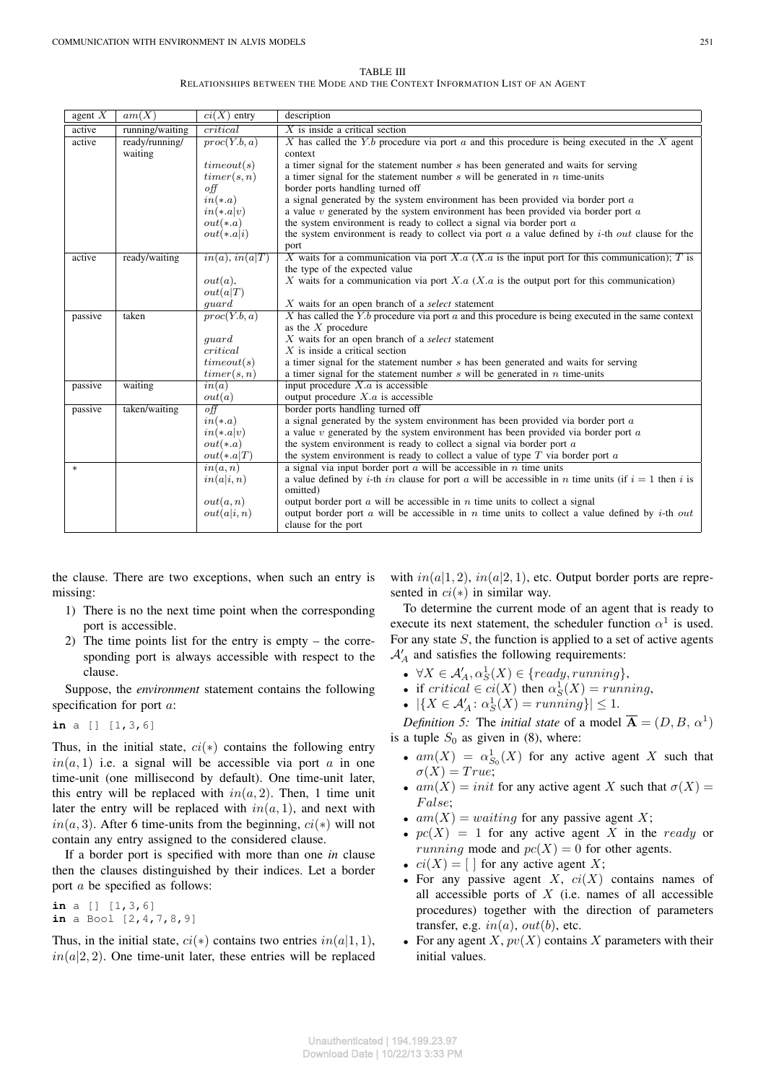TABLE III RELATIONSHIPS BETWEEN THE MODE AND THE CONTEXT INFORMATION LIST OF AN AGENT

| agent $\overline{X}$ | am(X)                     | $ci(X)$ entry             | description                                                                                                                                                                 |
|----------------------|---------------------------|---------------------------|-----------------------------------------------------------------------------------------------------------------------------------------------------------------------------|
| active               | running/waiting           | $\overline{critical}$     | $X$ is inside a critical section                                                                                                                                            |
| active               | ready/running/<br>waiting | proc(Y.b, a)              | X has called the Y.b procedure via port $\alpha$ and this procedure is being executed in the X agent<br>context                                                             |
|                      |                           | timeout(s)                | a timer signal for the statement number s has been generated and waits for serving                                                                                          |
|                      |                           | timer(s, n)               | a timer signal for the statement number $s$ will be generated in $n$ time-units                                                                                             |
|                      |                           | off                       | border ports handling turned off                                                                                                                                            |
|                      |                           | $in(*.a)$                 | a signal generated by the system environment has been provided via border port $\alpha$                                                                                     |
|                      |                           | $in(*.a v)$               | a value $v$ generated by the system environment has been provided via border port $a$                                                                                       |
|                      |                           | $out(*.a)$                | the system environment is ready to collect a signal via border port $a$                                                                                                     |
|                      |                           | $out(*.a i)$              | the system environment is ready to collect via port a a value defined by $i$ -th out clause for the                                                                         |
|                      |                           |                           | port                                                                                                                                                                        |
| active               | ready/waiting             | in(a), in(a T)            | X waits for a communication via port X.a (X.a is the input port for this communication); T is                                                                               |
|                      |                           |                           | the type of the expected value                                                                                                                                              |
|                      |                           | out(a),                   | X waits for a communication via port $X.a$ (X.a is the output port for this communication)                                                                                  |
|                      |                           | out(a T)                  |                                                                                                                                                                             |
|                      |                           | quard                     | $X$ waits for an open branch of a select statement                                                                                                                          |
| passive              | taken                     | proc(Y.b, a)              | X has called the $Y.b$ procedure via port $a$ and this procedure is being executed in the same context                                                                      |
|                      |                           |                           | as the $X$ procedure                                                                                                                                                        |
|                      |                           | guard                     | X waits for an open branch of a select statement                                                                                                                            |
|                      |                           | critical                  | $X$ is inside a critical section                                                                                                                                            |
|                      |                           | timeout(s)                | a timer signal for the statement number s has been generated and waits for serving                                                                                          |
|                      |                           | timer(s, n)               | a timer signal for the statement number $s$ will be generated in $n$ time-units                                                                                             |
| passive              | waiting                   | in(a)                     | input procedure $X.a$ is accessible                                                                                                                                         |
|                      |                           | out(a)                    | output procedure $X.a$ is accessible                                                                                                                                        |
| passive              | taken/waiting             | $\overline{off}$          | border ports handling turned off                                                                                                                                            |
|                      |                           | $in(*.a)$                 | a signal generated by the system environment has been provided via border port $a$<br>a value $v$ generated by the system environment has been provided via border port $a$ |
|                      |                           | $in(*.a v)$<br>$out(*.a)$ | the system environment is ready to collect a signal via border port $a$                                                                                                     |
|                      |                           | $out(*.a T)$              | the system environment is ready to collect a value of type $T$ via border port $a$                                                                                          |
| $\ast$               |                           | in(a, n)                  | a signal via input border port $a$ will be accessible in $n$ time units                                                                                                     |
|                      |                           | in(a i, n)                | a value defined by <i>i</i> -th <i>in</i> clause for port <i>a</i> will be accessible in <i>n</i> time units (if $i = 1$ then <i>i</i> is                                   |
|                      |                           |                           | omitted)                                                                                                                                                                    |
|                      |                           | out(a, n)                 | output border port $a$ will be accessible in $n$ time units to collect a signal                                                                                             |
|                      |                           | out(a i, n)               | output border port a will be accessible in n time units to collect a value defined by i-th out                                                                              |
|                      |                           |                           | clause for the port                                                                                                                                                         |
|                      |                           |                           |                                                                                                                                                                             |

the clause. There are two exceptions, when such an entry is missing:

- 1) There is no the next time point when the corresponding port is accessible.
- 2) The time points list for the entry is empty the corresponding port is always accessible with respect to the clause.

Suppose, the *environment* statement contains the following specification for port  $a$ :

**in** a [] [1,3,6]

Thus, in the initial state,  $ci(*)$  contains the following entry  $in(a, 1)$  i.e. a signal will be accessible via port a in one time-unit (one millisecond by default). One time-unit later, this entry will be replaced with  $in(a, 2)$ . Then, 1 time unit later the entry will be replaced with  $in(a, 1)$ , and next with in(a, 3). After 6 time-units from the beginning,  $ci(*)$  will not contain any entry assigned to the considered clause.

If a border port is specified with more than one *in* clause then the clauses distinguished by their indices. Let a border port a be specified as follows:

\n
$$
\text{in } a \left[ \right] \left[ 1, 3, 6 \right]
$$
\n

\n\n $\text{in } a \text{Bool } \left[ 2, 4, 7, 8, 9 \right]$ \n

Thus, in the initial state,  $ci(*)$  contains two entries  $in(a|1, 1)$ ,  $in(a|2, 2)$ . One time-unit later, these entries will be replaced with  $in(a|1, 2)$ ,  $in(a|2, 1)$ , etc. Output border ports are represented in  $ci(*)$  in similar way.

To determine the current mode of an agent that is ready to execute its next statement, the scheduler function  $\alpha^1$  is used. For any state  $S$ , the function is applied to a set of active agents  $A'_A$  and satisfies the following requirements:

- $\forall X \in \mathcal{A}_A', \alpha_S^1(X) \in \{ready, running\},\$
- if  $critical \in ci(X)$  then  $\alpha_S^1(X) = running$ ,
- $|\{X \in \mathcal{A}'_A : \alpha_S^1(X) = running\}| \le 1.$

*Definition 5:* The *initial state* of a model  $\overline{A} = (D, B, \alpha^1)$ is a tuple  $S_0$  as given in (8), where:

- $am(X) = \alpha_{S_0}^1(X)$  for any active agent X such that  $\sigma(X) = True;$
- $am(X) = init$  for any active agent X such that  $\sigma(X) =$ False:
- $am(X) = waiting$  for any passive agent X;
- $pc(X) = 1$  for any active agent X in the ready or *running* mode and  $pc(X) = 0$  for other agents.
- $ci(X) = [ ]$  for any active agent X;
- For any passive agent  $X$ ,  $ci(X)$  contains names of all accessible ports of  $X$  (i.e. names of all accessible procedures) together with the direction of parameters transfer, e.g.  $in(a)$ ,  $out(b)$ , etc.
- For any agent  $X, pv(X)$  contains X parameters with their initial values.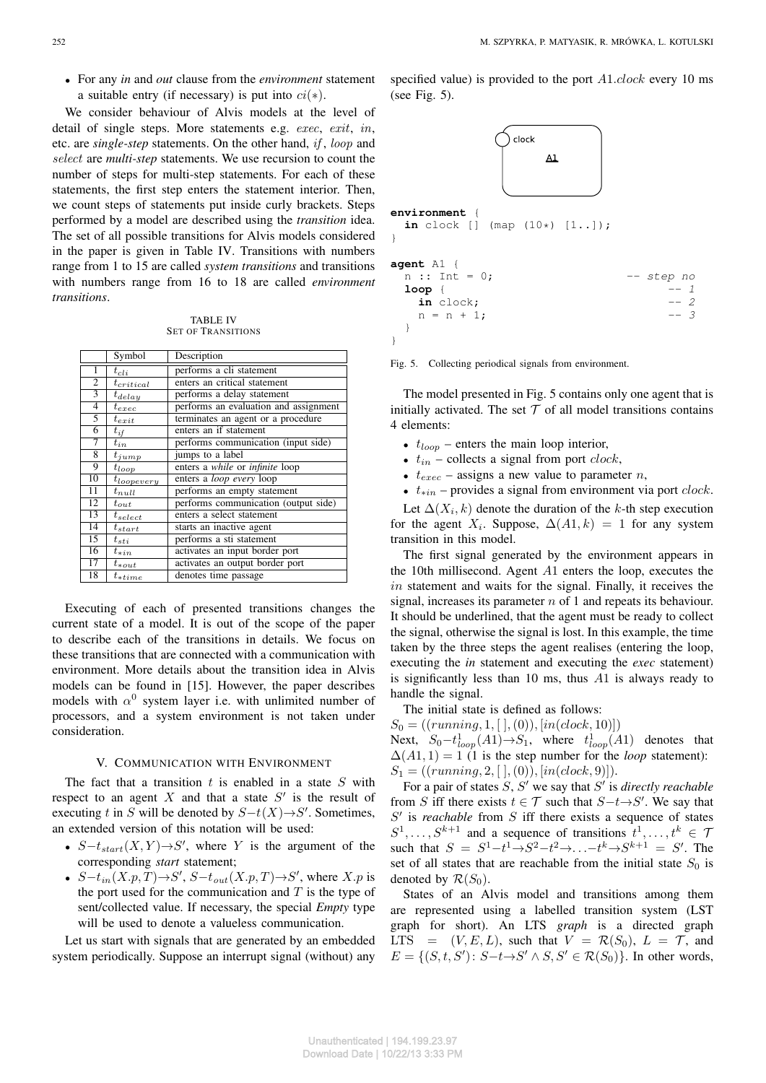• For any *in* and *out* clause from the *environment* statement a suitable entry (if necessary) is put into  $ci(*)$ .

We consider behaviour of Alvis models at the level of detail of single steps. More statements e.g. exec, exit, in, etc. are *single-step* statements. On the other hand, if, loop and select are *multi-step* statements. We use recursion to count the number of steps for multi-step statements. For each of these statements, the first step enters the statement interior. Then, we count steps of statements put inside curly brackets. Steps performed by a model are described using the *transition* idea. The set of all possible transitions for Alvis models considered in the paper is given in Table IV. Transitions with numbers range from 1 to 15 are called *system transitions* and transitions with numbers range from 16 to 18 are called *environment transitions*.

TABLE IV SET OF TRANSITIONS

|                | Symbol          | Description                           |
|----------------|-----------------|---------------------------------------|
| 1              | $t_{cli}$       | performs a cli statement              |
| $\overline{2}$ | $t_{critical}$  | enters an critical statement          |
| $\overline{3}$ | $t_{delay}$     | performs a delay statement            |
| $\overline{4}$ | $t_{exec}$      | performs an evaluation and assignment |
| 5              | $t_{exit}$      | terminates an agent or a procedure    |
| 6              | $t_{if}$        | enters an if statement                |
| 7              | $t_{in}$        | performs communication (input side)   |
| 8              | $t_{jump}$      | jumps to a label                      |
| 9              | $t_{loop}$      | enters a while or infinite loop       |
| 10             | $t_{loopevery}$ | enters a <i>loop every</i> loop       |
| 11             | $t_{null}$      | performs an empty statement           |
| 12             | $t_{out}$       | performs communication (output side)  |
| 13             | $t_{select}$    | enters a select statement             |
| 14             | $t_{start}$     | starts an inactive agent              |
| 15             | $t_{sti}$       | performs a sti statement              |
| 16             | $t_{*in}$       | activates an input border port        |
| 17             | $t_{*out}$      | activates an output border port       |
| 18             | $t_{*time}$     | denotes time passage                  |

Executing of each of presented transitions changes the current state of a model. It is out of the scope of the paper to describe each of the transitions in details. We focus on these transitions that are connected with a communication with environment. More details about the transition idea in Alvis models can be found in [15]. However, the paper describes models with  $\alpha^0$  system layer i.e. with unlimited number of processors, and a system environment is not taken under consideration.

# V. COMMUNICATION WITH ENVIRONMENT

The fact that a transition  $t$  is enabled in a state  $S$  with respect to an agent X and that a state  $S'$  is the result of executing t in S will be denoted by  $S-t(X) \rightarrow S'$ . Sometimes, an extended version of this notation will be used:

- $S-t_{start}(X, Y) \rightarrow S'$ , where Y is the argument of the corresponding *start* statement;
- $S-t_{in}(X.p, T) \rightarrow S', S-t_{out}(X.p, T) \rightarrow S'$ , where  $X.p$  is the port used for the communication and  $T$  is the type of sent/collected value. If necessary, the special *Empty* type will be used to denote a valueless communication.

Let us start with signals that are generated by an embedded system periodically. Suppose an interrupt signal (without) any

specified value) is provided to the port  $A1.close$  every 10 ms (see Fig. 5).



| agent A1 {      |            |
|-----------------|------------|
| $n :: Int = 0;$ | -- step no |
| $loop \{$       | $--$ 1     |
| in $clock;$     | $-- 2$     |
| $n = n + 1;$    | $--$ 3     |
|                 |            |
|                 |            |

Fig. 5. Collecting periodical signals from environment.

**environment** {

}

}

The model presented in Fig. 5 contains only one agent that is initially activated. The set  $T$  of all model transitions contains 4 elements:

- $t_{loop}$  enters the main loop interior,
- $t_{in}$  collects a signal from port *clock*,
- $t_{exec}$  assigns a new value to parameter *n*,
- $t_{\rm{*}in}$  provides a signal from environment via port *clock*.

Let  $\Delta(X_i, k)$  denote the duration of the k-th step execution for the agent  $X_i$ . Suppose,  $\Delta(A1,k) = 1$  for any system transition in this model.

The first signal generated by the environment appears in the 10th millisecond. Agent A1 enters the loop, executes the in statement and waits for the signal. Finally, it receives the signal, increases its parameter  $n$  of 1 and repeats its behaviour. It should be underlined, that the agent must be ready to collect the signal, otherwise the signal is lost. In this example, the time taken by the three steps the agent realises (entering the loop, executing the *in* statement and executing the *exec* statement) is significantly less than 10 ms, thus A1 is always ready to handle the signal.

The initial state is defined as follows:

 $S_0 = ((running, 1, [ ], (0)), [in(clock, 10)])$ 

Next,  $S_0 - t_{loop}^1(A1) \rightarrow S_1$ , where  $t_{loop}^1(A1)$  denotes that  $\Delta(A1, 1) = 1$  (1 is the step number for the *loop* statement):  $S_1 = ((running, 2, [ \ ], (0)), [in(clock, 9)]).$ 

For a pair of states  $S$ ,  $S'$  we say that  $S'$  is *directly reachable* from S iff there exists  $t \in \mathcal{T}$  such that  $S-t \rightarrow S'$ . We say that  $S'$  is *reachable* from  $S$  iff there exists a sequence of states  $S^1, \ldots, S^{k+1}$  and a sequence of transitions  $t^1, \ldots, t^k \in \mathcal{T}$ such that  $S = S^1 - t^1 \rightarrow S^2 - t^2 \rightarrow \dots - t^k \rightarrow S^{k+1} = S'$ . The set of all states that are reachable from the initial state  $S_0$  is denoted by  $\mathcal{R}(S_0)$ .

States of an Alvis model and transitions among them are represented using a labelled transition system (LST graph for short). An LTS *graph* is a directed graph LTS =  $(V, E, L)$ , such that  $V = \mathcal{R}(S_0)$ ,  $L = \mathcal{T}$ , and  $E = \{(S, t, S') : S - t \rightarrow S' \land S, S' \in \mathcal{R}(S_0)\}\.$  In other words,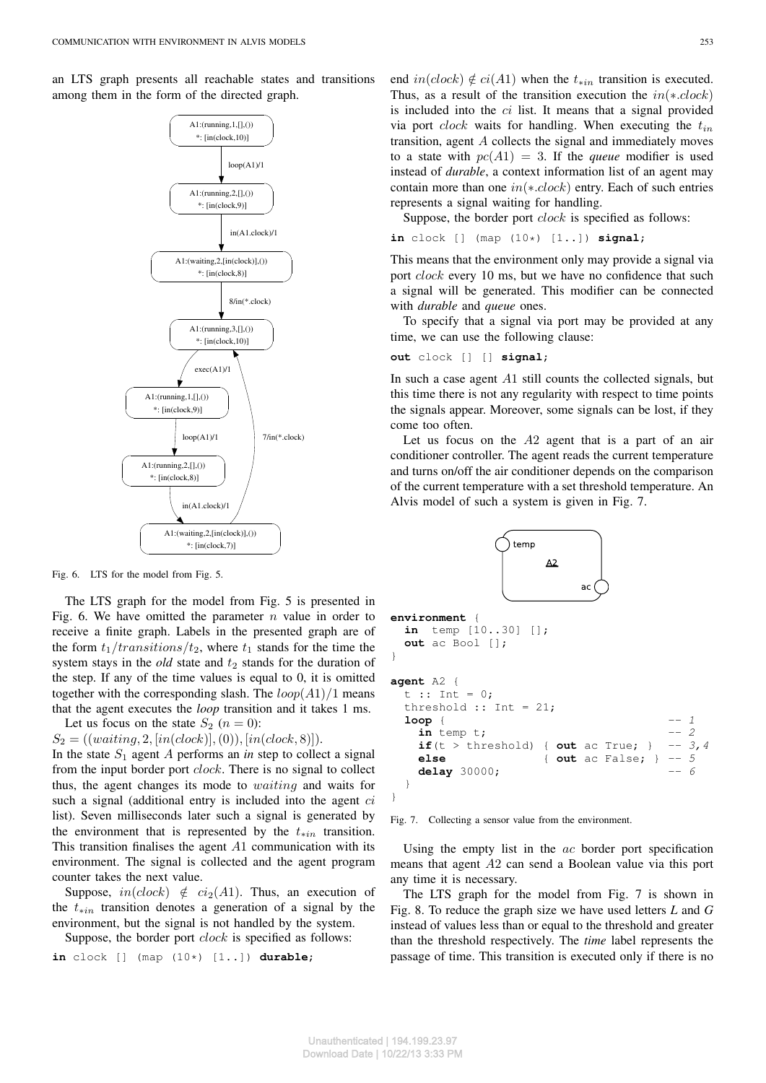an LTS graph presents all reachable states and transitions among them in the form of the directed graph.



Fig. 6. LTS for the model from Fig. 5.

The LTS graph for the model from Fig. 5 is presented in Fig. 6. We have omitted the parameter  $n$  value in order to receive a finite graph. Labels in the presented graph are of the form  $t_1/transitions/t_2$ , where  $t_1$  stands for the time the system stays in the *old* state and  $t_2$  stands for the duration of the step. If any of the time values is equal to 0, it is omitted together with the corresponding slash. The  $loop(A1)/1$  means that the agent executes the *loop* transition and it takes 1 ms. Let us focus on the state  $S_2$   $(n = 0)$ :

 $S_2 = ((waiting, 2, [in(clock)], (0)), [in(clock, 8)]).$ 

In the state  $S_1$  agent A performs an *in* step to collect a signal from the input border port clock. There is no signal to collect thus, the agent changes its mode to waiting and waits for such a signal (additional entry is included into the agent *ci* list). Seven milliseconds later such a signal is generated by the environment that is represented by the  $t_{\ast in}$  transition. This transition finalises the agent A1 communication with its environment. The signal is collected and the agent program counter takes the next value.

Suppose,  $in(clock) \notin ci_2(A1)$ . Thus, an execution of the  $t_{\ast in}$  transition denotes a generation of a signal by the environment, but the signal is not handled by the system.

Suppose, the border port *clock* is specified as follows:

$$
\text{in clock} \quad [\text{] } (\text{map} \quad (10*) \quad [1 \dots]) \quad \text{durable};
$$

end  $in(clock) \notin ci(A1)$  when the  $t_{*in}$  transition is executed. Thus, as a result of the transition execution the  $in(*clock)$ is included into the  $ci$  list. It means that a signal provided via port *clock* waits for handling. When executing the  $t_{in}$ transition, agent A collects the signal and immediately moves to a state with  $pc(A1) = 3$ . If the *queue* modifier is used instead of *durable*, a context information list of an agent may contain more than one  $in(*.close)$  entry. Each of such entries represents a signal waiting for handling.

Suppose, the border port *clock* is specified as follows:

**in** clock [] (map (10\*) [1..]) **signal**;

This means that the environment only may provide a signal via port *clock* every 10 ms, but we have no confidence that such a signal will be generated. This modifier can be connected with *durable* and *queue* ones.

To specify that a signal via port may be provided at any time, we can use the following clause:

**out** clock [] [] **signal**;

In such a case agent A1 still counts the collected signals, but this time there is not any regularity with respect to time points the signals appear. Moreover, some signals can be lost, if they come too often.

Let us focus on the  $A2$  agent that is a part of an air conditioner controller. The agent reads the current temperature and turns on/off the air conditioner depends on the comparison of the current temperature with a set threshold temperature. An Alvis model of such a system is given in Fig. 7.



```
environment {
 in temp [10..30] [];
 out ac Bool [];
}
agent A2 {
 t :: Int = 0;
 threshold :: Int = 21;
 loop { -1\mathbf{in} temp t; \qquad \qquad -- \qquad 2\textbf{if}(t > \text{threshold}) { out ac True; } -- 3,4
   else { out ac False; } -- 5
   delay 30000;
 }
}
```
Fig. 7. Collecting a sensor value from the environment.

Using the empty list in the ac border port specification means that agent A2 can send a Boolean value via this port any time it is necessary.

The LTS graph for the model from Fig. 7 is shown in Fig. 8. To reduce the graph size we have used letters *L* and *G* instead of values less than or equal to the threshold and greater than the threshold respectively. The *time* label represents the passage of time. This transition is executed only if there is no